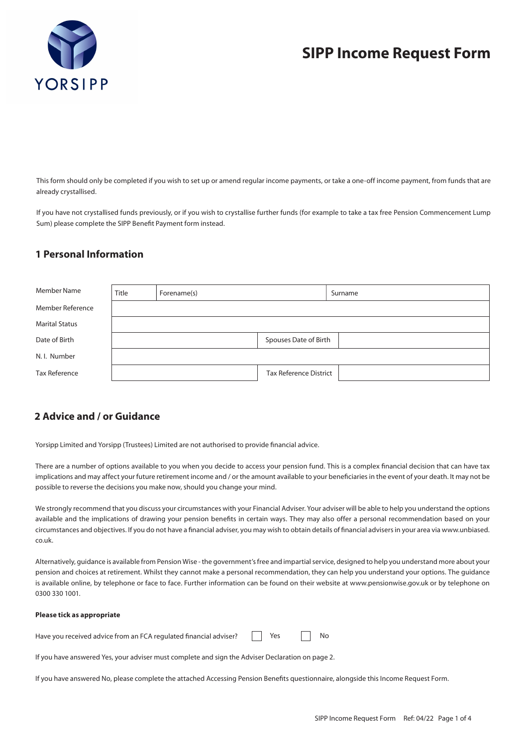

## **SIPP Income Request Form**

This form should only be completed if you wish to set up or amend regular income payments, or take a one-off income payment, from funds that are already crystallised.

If you have not crystallised funds previously, or if you wish to crystallise further funds (for example to take a tax free Pension Commencement Lump Sum) please complete the SIPP Benefit Payment form instead.

### **1 Personal Information**

| Member Name           | Title | Forename(s) |                               | Surname |  |
|-----------------------|-------|-------------|-------------------------------|---------|--|
| Member Reference      |       |             |                               |         |  |
| <b>Marital Status</b> |       |             |                               |         |  |
| Date of Birth         |       |             | Spouses Date of Birth         |         |  |
| N.I. Number           |       |             |                               |         |  |
| <b>Tax Reference</b>  |       |             | <b>Tax Reference District</b> |         |  |

## **2 Advice and / or Guidance**

Yorsipp Limited and Yorsipp (Trustees) Limited are not authorised to provide financial advice.

There are a number of options available to you when you decide to access your pension fund. This is a complex financial decision that can have tax implications and may affect your future retirement income and / or the amount available to your beneficiaries in the event of your death. It may not be possible to reverse the decisions you make now, should you change your mind.

We strongly recommend that you discuss your circumstances with your Financial Adviser. Your adviser will be able to help you understand the options available and the implications of drawing your pension benefits in certain ways. They may also offer a personal recommendation based on your circumstances and objectives. If you do not have a financial adviser, you may wish to obtain details of financial advisers in your area via www.unbiased. co.uk.

Alternatively, guidance is available from Pension Wise - the government's free and impartial service, designed to help you understand more about your pension and choices at retirement. Whilst they cannot make a personal recommendation, they can help you understand your options. The guidance is available online, by telephone or face to face. Further information can be found on their website at www.pensionwise.gov.uk or by telephone on 0300 330 1001.

#### **Please tick as appropriate**

Have you received advice from an FCA regulated financial adviser? Yes <u>No</u>

If you have answered Yes, your adviser must complete and sign the Adviser Declaration on page 2.

If you have answered No, please complete the attached Accessing Pension Benefits questionnaire, alongside this Income Request Form.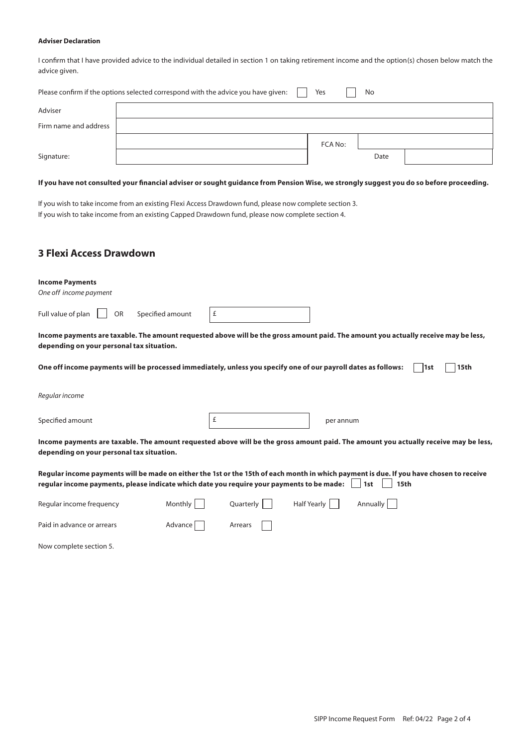#### **Adviser Declaration**

I confirm that I have provided advice to the individual detailed in section 1 on taking retirement income and the option(s) chosen below match the advice given.

| Please confirm if the options selected correspond with the advice you have given: |  |         | No   |  |
|-----------------------------------------------------------------------------------|--|---------|------|--|
| Adviser                                                                           |  |         |      |  |
| Firm name and address                                                             |  |         |      |  |
|                                                                                   |  | FCA No: |      |  |
| Signature:                                                                        |  |         | Date |  |

### **If you have not consulted your financial adviser or sought guidance from Pension Wise, we strongly suggest you do so before proceeding.**

If you wish to take income from an existing Flexi Access Drawdown fund, please now complete section 3. If you wish to take income from an existing Capped Drawdown fund, please now complete section 4.

## **3 Flexi Access Drawdown**

| <b>Income Payments</b><br>One off income payment                                                                                                                                                                                     |         |           |                                |      |      |
|--------------------------------------------------------------------------------------------------------------------------------------------------------------------------------------------------------------------------------------|---------|-----------|--------------------------------|------|------|
| Full value of plan<br>Specified amount<br><b>OR</b>                                                                                                                                                                                  | £       |           |                                |      |      |
| Income payments are taxable. The amount requested above will be the gross amount paid. The amount you actually receive may be less,<br>depending on your personal tax situation.                                                     |         |           |                                |      |      |
| One off income payments will be processed immediately, unless you specify one of our payroll dates as follows:                                                                                                                       |         |           |                                | l1st | 15th |
| Regular income                                                                                                                                                                                                                       |         |           |                                |      |      |
| Specified amount                                                                                                                                                                                                                     | £       |           | per annum                      |      |      |
| Income payments are taxable. The amount requested above will be the gross amount paid. The amount you actually receive may be less,<br>depending on your personal tax situation.                                                     |         |           |                                |      |      |
| Regular income payments will be made on either the 1st or the 15th of each month in which payment is due. If you have chosen to receive<br>regular income payments, please indicate which date you require your payments to be made: |         |           | 1st                            | 15th |      |
| Regular income frequency                                                                                                                                                                                                             | Monthly | Quarterly | <b>Half Yearly</b><br>Annually |      |      |
| Paid in advance or arrears                                                                                                                                                                                                           | Advance | Arrears   |                                |      |      |

Now complete section 5.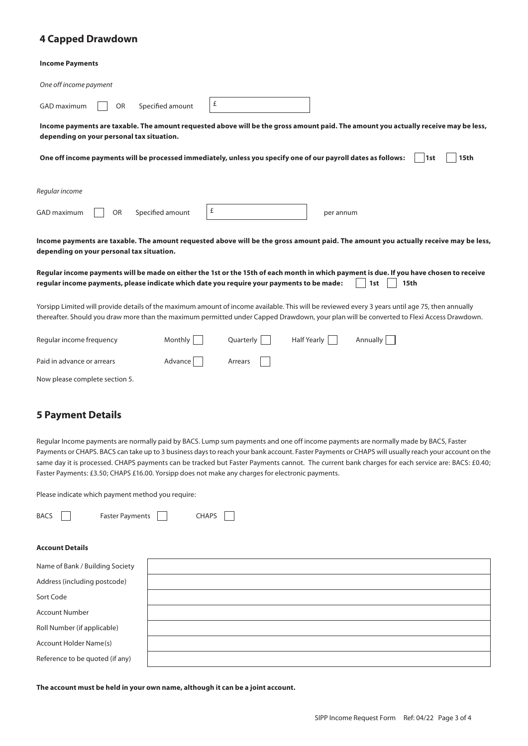## **4 Capped Drawdown**

#### **Income Payments**

| One off income payment                                                                                                                          |                       |           |                    |                                                                                                                                                               |
|-------------------------------------------------------------------------------------------------------------------------------------------------|-----------------------|-----------|--------------------|---------------------------------------------------------------------------------------------------------------------------------------------------------------|
| GAD maximum<br><b>OR</b>                                                                                                                        | £<br>Specified amount |           |                    |                                                                                                                                                               |
| depending on your personal tax situation.                                                                                                       |                       |           |                    | Income payments are taxable. The amount requested above will be the gross amount paid. The amount you actually receive may be less,                           |
| One off income payments will be processed immediately, unless you specify one of our payroll dates as follows:                                  |                       |           |                    | 15th<br>1st                                                                                                                                                   |
| Regular income                                                                                                                                  |                       |           |                    |                                                                                                                                                               |
| GAD maximum<br><b>OR</b>                                                                                                                        | £<br>Specified amount |           | per annum          |                                                                                                                                                               |
| depending on your personal tax situation.                                                                                                       |                       |           |                    | Income payments are taxable. The amount requested above will be the gross amount paid. The amount you actually receive may be less,                           |
| regular income payments, please indicate which date you require your payments to be made:                                                       |                       |           |                    | Regular income payments will be made on either the 1st or the 15th of each month in which payment is due. If you have chosen to receive<br><b>15th</b><br>1st |
| Yorsipp Limited will provide details of the maximum amount of income available. This will be reviewed every 3 years until age 75, then annually |                       |           |                    | thereafter. Should you draw more than the maximum permitted under Capped Drawdown, your plan will be converted to Flexi Access Drawdown.                      |
| Regular income frequency                                                                                                                        | Monthly               | Quarterly | <b>Half Yearly</b> | <b>Annually</b>                                                                                                                                               |
| Paid in advance or arrears                                                                                                                      | Advance               | Arrears   |                    |                                                                                                                                                               |
| Now please complete section 5.                                                                                                                  |                       |           |                    |                                                                                                                                                               |

## **5 Payment Details**

Regular Income payments are normally paid by BACS. Lump sum payments and one off income payments are normally made by BACS, Faster Payments or CHAPS. BACS can take up to 3 business days to reach your bank account. Faster Payments or CHAPS will usually reach your account on the same day it is processed. CHAPS payments can be tracked but Faster Payments cannot. The current bank charges for each service are: BACS: £0.40; Faster Payments: £3.50; CHAPS £16.00. Yorsipp does not make any charges for electronic payments.

Please indicate which payment method you require:

| BACS                   | Faster Payments | <b>CHAPS</b> |
|------------------------|-----------------|--------------|
|                        |                 |              |
| <b>Account Details</b> |                 |              |

| Name of Bank / Building Society |  |  |
|---------------------------------|--|--|
| Address (including postcode)    |  |  |
| Sort Code                       |  |  |
| <b>Account Number</b>           |  |  |
| Roll Number (if applicable)     |  |  |
| Account Holder Name(s)          |  |  |
| Reference to be quoted (if any) |  |  |
|                                 |  |  |

**The account must be held in your own name, although it can be a joint account.**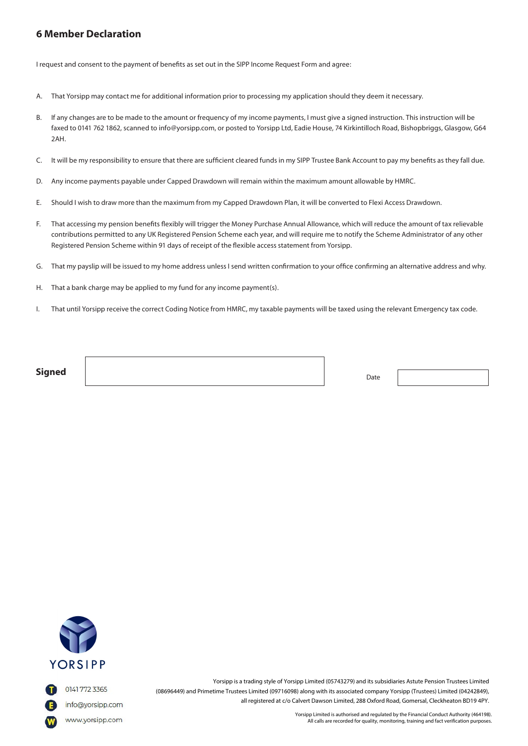## Marriage Certificate (for female applicants) Yes N/A **6 Member Declaration**

I request and consent to the payment of benefits as set out in the SIPP Income Request Form and agree:

- A. That Yorsipp may contact me for additional information prior to processing my application should they deem it necessary.
- faxed to 0141 762 1862, scanned to info@yorsipp.com, or posted to Yorsipp Ltd, Eadie House, 74 Kirkintilloch Road, Bishopbriggs, Glasgow, G64 B. If any changes are to be made to the amount or frequency of my income payments, I must give a signed instruction. This instruction will be 2AH.
- C. It will be my responsibility to ensure that there are sufficient cleared funds in my SIPP Trustee Bank Account to pay my benefits as they fall due.<br>-
- D. Any income payments payable under Capped Drawdown will remain within the maximum amount allowable by HMRC.
- E. Should I wish to draw more than the maximum from my Capped Drawdown Plan, it will be converted to Flexi Access Drawdown.<br>.
- F. That accessing my pension benefits flexibly will trigger the Money Purchase Annual Allowance, which will reduce the amount of tax relievable contributions permitted to any UK Registered Pension Scheme each year, and will require me to notify the Scheme Administrator of any other Registered Pension Scheme within 91 days of receipt of the flexible access statement from Yorsipp.
- G. That my payslip will be issued to my home address unless I send written confirmation to your office confirming an alternative address and why.
- H. That a bank charge may be applied to my fund for any income payment(s).
- l. That until Yorsipp receive the correct Coding Notice from HMRC, my taxable payments will be taxed using the relevant Emergency tax code.

**Signed** Date **Signed** 



0141 772 3365

Yorsipp is a trading style of Yorsipp Limited (05743279) and its subsidiaries Astute Pension Trustees Limited (08696449) and Primetime Trustees Limited (09716098) along with its associated company Yorsipp (Trustees) Limited (04242849), all registered at c/o Calvert Dawson Limited, 288 Oxford Road, Gomersal, Cleckheaton BD19 4PY.

> Yorsipp Limited is authorised and regulated by the Financial Conduct Authority (464198). All calls are recorded for quality, monitoring, training and fact verification purposes.

info@yorsipp.com www.yorsipp.com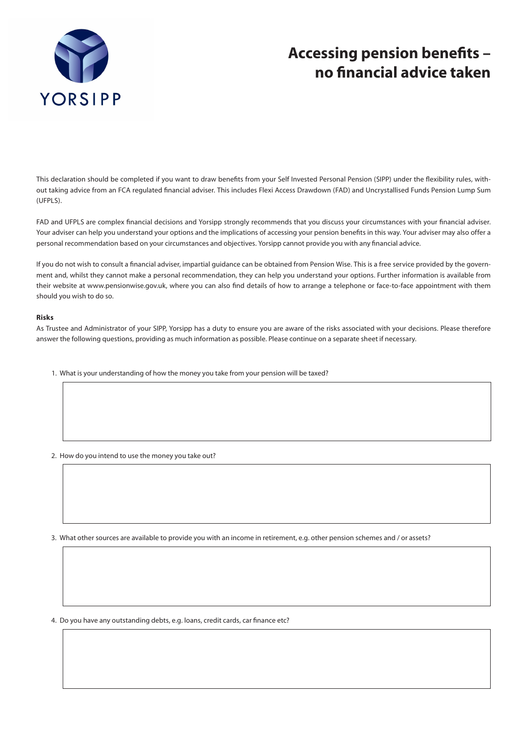

# **Accessing pension benefits – no financial advice taken**

This declaration should be completed if you want to draw benefits from your Self Invested Personal Pension (SIPP) under the flexibility rules, without taking advice from an FCA regulated financial adviser. This includes Flexi Access Drawdown (FAD) and Uncrystallised Funds Pension Lump Sum (UFPLS).

FAD and UFPLS are complex financial decisions and Yorsipp strongly recommends that you discuss your circumstances with your financial adviser. Your adviser can help you understand your options and the implications of accessing your pension benefits in this way. Your adviser may also offer a personal recommendation based on your circumstances and objectives. Yorsipp cannot provide you with any financial advice.

If you do not wish to consult a financial adviser, impartial guidance can be obtained from Pension Wise. This is a free service provided by the government and, whilst they cannot make a personal recommendation, they can help you understand your options. Further information is available from their website at www.pensionwise.gov.uk, where you can also find details of how to arrange a telephone or face-to-face appointment with them should you wish to do so.

#### **Risks**

As Trustee and Administrator of your SIPP, Yorsipp has a duty to ensure you are aware of the risks associated with your decisions. Please therefore answer the following questions, providing as much information as possible. Please continue on a separate sheet if necessary.

- 1. What is your understanding of how the money you take from your pension will be taxed?
- 2. How do you intend to use the money you take out?

3. What other sources are available to provide you with an income in retirement, e.g. other pension schemes and / or assets?

4. Do you have any outstanding debts, e.g. loans, credit cards, car finance etc?